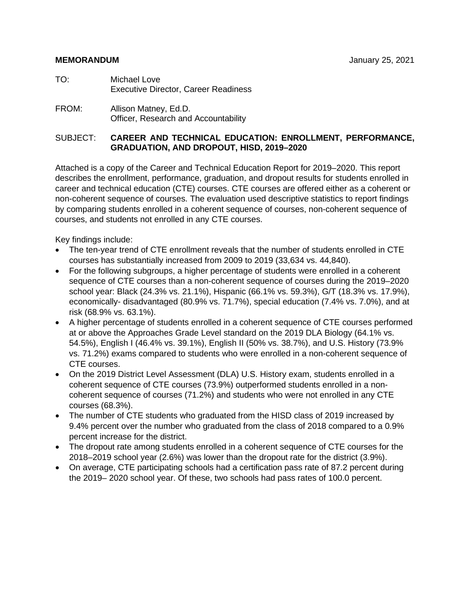- TO: Michael Love Executive Director, Career Readiness
- FROM: Allison Matney, Ed.D. Officer, Research and Accountability

#### SUBJECT: **CAREER AND TECHNICAL EDUCATION: ENROLLMENT, PERFORMANCE, GRADUATION, AND DROPOUT, HISD, 2019–2020**

Attached is a copy of the Career and Technical Education Report for 2019–2020. This report describes the enrollment, performance, graduation, and dropout results for students enrolled in career and technical education (CTE) courses. CTE courses are offered either as a coherent or non-coherent sequence of courses. The evaluation used descriptive statistics to report findings by comparing students enrolled in a coherent sequence of courses, non-coherent sequence of courses, and students not enrolled in any CTE courses.

Key findings include:

- The ten-year trend of CTE enrollment reveals that the number of students enrolled in CTE courses has substantially increased from 2009 to 2019 (33,634 vs. 44,840).
- For the following subgroups, a higher percentage of students were enrolled in a coherent sequence of CTE courses than a non-coherent sequence of courses during the 2019–2020 school year: Black (24.3% vs. 21.1%), Hispanic (66.1% vs. 59.3%), G/T (18.3% vs. 17.9%), economically- disadvantaged (80.9% vs. 71.7%), special education (7.4% vs. 7.0%), and at risk (68.9% vs. 63.1%).
- A higher percentage of students enrolled in a coherent sequence of CTE courses performed at or above the Approaches Grade Level standard on the 2019 DLA Biology (64.1% vs. 54.5%), English I (46.4% vs. 39.1%), English II (50% vs. 38.7%), and U.S. History (73.9% vs. 71.2%) exams compared to students who were enrolled in a non-coherent sequence of CTE courses.
- On the 2019 District Level Assessment (DLA) U.S. History exam, students enrolled in a coherent sequence of CTE courses (73.9%) outperformed students enrolled in a noncoherent sequence of courses (71.2%) and students who were not enrolled in any CTE courses (68.3%).
- The number of CTE students who graduated from the HISD class of 2019 increased by 9.4% percent over the number who graduated from the class of 2018 compared to a 0.9% percent increase for the district.
- The dropout rate among students enrolled in a coherent sequence of CTE courses for the 2018–2019 school year (2.6%) was lower than the dropout rate for the district (3.9%).
- On average, CTE participating schools had a certification pass rate of 87.2 percent during the 2019– 2020 school year. Of these, two schools had pass rates of 100.0 percent.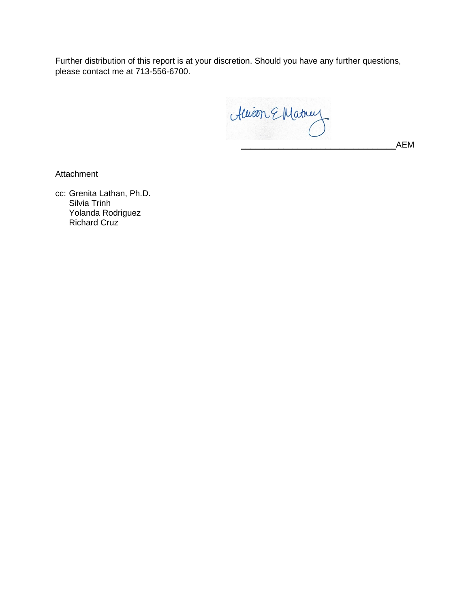Further distribution of this report is at your discretion. Should you have any further questions, please contact me at 713-556-6700.

\_\_\_\_\_\_\_\_\_\_\_\_\_\_\_\_\_\_\_\_\_\_\_\_\_\_\_\_\_\_\_\_\_AEM

Attachment

cc: Grenita Lathan, Ph.D. Silvia Trinh Yolanda Rodriguez Richard Cruz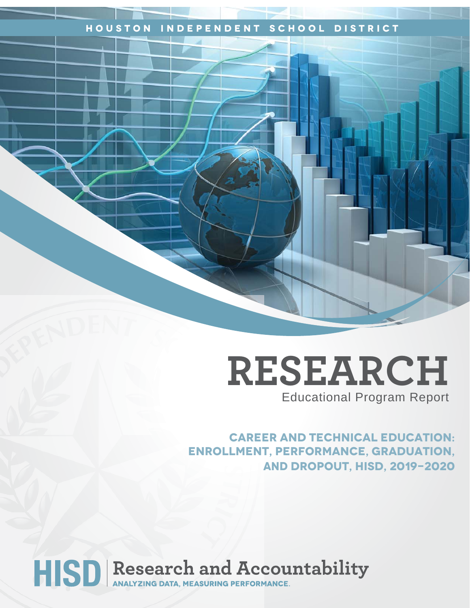## **Houston Independent School District**

# **RESEARCH** Educational Program Report

**career and technical education: Enrollment, performance, graduation, AND dropout, hisd, 2019-2020**

# HISD Research and Accountability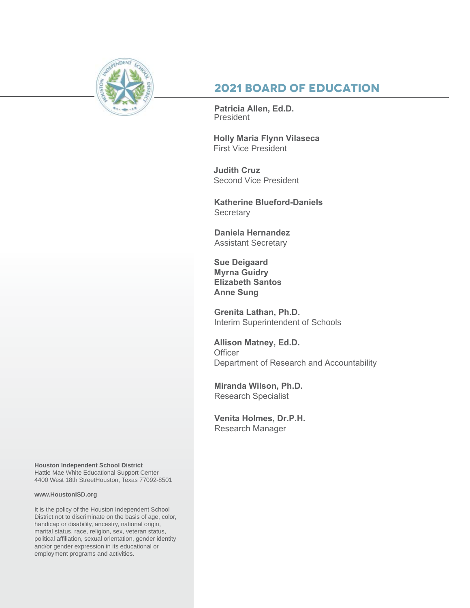

## **2021 Board of Education**

**Patricia Allen, Ed.D.** President

**Holly Maria Flynn Vilaseca**  First Vice President

**Judith Cruz**  Second Vice President

**Katherine Blueford-Daniels Secretary** 

**Daniela Hernandez** Assistant Secretary

**Sue Deigaard Myrna Guidry Elizabeth Santos Anne Sung**

**Grenita Lathan, Ph.D.**  Interim Superintendent of Schools

**Allison Matney, Ed.D. Officer** Department of Research and Accountability

**Miranda Wilson, Ph.D.** Research Specialist

**Venita Holmes, Dr.P.H.**  Research Manager

**Houston Independent School District** Hattie Mae White Educational Support Center 4400 West 18th StreetHouston, Texas 77092-8501

#### **www.HoustonISD.org**

It is the policy of the Houston Independent School District not to discriminate on the basis of age, color, handicap or disability, ancestry, national origin, marital status, race, religion, sex, veteran status, political affiliation, sexual orientation, gender identity and/or gender expression in its educational or employment programs and activities.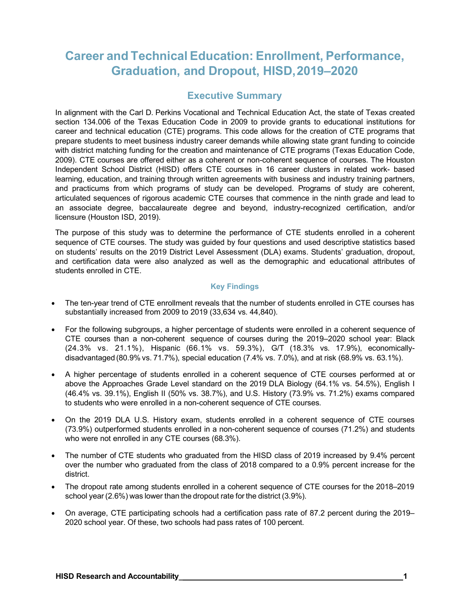## **Career and Technical Education: Enrollment, Performance, Graduation, and Dropout, HISD,2019–2020**

## **Executive Summary**

In alignment with the Carl D. Perkins Vocational and Technical Education Act, the state of Texas created section 134.006 of the Texas Education Code in 2009 to provide grants to educational institutions for career and technical education (CTE) programs. This code allows for the creation of CTE programs that prepare students to meet business industry career demands while allowing state grant funding to coincide with district matching funding for the creation and maintenance of CTE programs (Texas Education Code, 2009). CTE courses are offered either as a coherent or non-coherent sequence of courses. The Houston Independent School District (HISD) offers CTE courses in 16 career clusters in related work- based learning, education, and training through written agreements with business and industry training partners, and practicums from which programs of study can be developed. Programs of study are coherent, articulated sequences of rigorous academic CTE courses that commence in the ninth grade and lead to an associate degree, baccalaureate degree and beyond, industry-recognized certification, and/or licensure (Houston ISD, 2019).

The purpose of this study was to determine the performance of CTE students enrolled in a coherent sequence of CTE courses. The study was guided by four questions and used descriptive statistics based on students' results on the 2019 District Level Assessment (DLA) exams. Students' graduation, dropout, and certification data were also analyzed as well as the demographic and educational attributes of students enrolled in CTE.

#### **Key Findings**

- The ten-year trend of CTE enrollment reveals that the number of students enrolled in CTE courses has substantially increased from 2009 to 2019 (33,634 vs. 44,840).
- For the following subgroups, a higher percentage of students were enrolled in a coherent sequence of CTE courses than a non-coherent sequence of courses during the 2019–2020 school year: Black (24.3% vs. 21.1%), Hispanic (66.1% vs. 59.3%), G/T (18.3% vs. 17.9%), economicallydisadvantaged (80.9% vs. 71.7%), special education (7.4% vs. 7.0%), and at risk (68.9% vs. 63.1%).
- A higher percentage of students enrolled in a coherent sequence of CTE courses performed at or above the Approaches Grade Level standard on the 2019 DLA Biology (64.1% vs. 54.5%), English I (46.4% vs. 39.1%), English II (50% vs. 38.7%), and U.S. History (73.9% vs. 71.2%) exams compared to students who were enrolled in a non-coherent sequence of CTE courses.
- On the 2019 DLA U.S. History exam, students enrolled in a coherent sequence of CTE courses (73.9%) outperformed students enrolled in a non-coherent sequence of courses (71.2%) and students who were not enrolled in any CTE courses (68.3%).
- The number of CTE students who graduated from the HISD class of 2019 increased by 9.4% percent over the number who graduated from the class of 2018 compared to a 0.9% percent increase for the district.
- The dropout rate among students enrolled in a coherent sequence of CTE courses for the 2018–2019 school year (2.6%) was lower than the dropout rate for the district (3.9%).
- On average, CTE participating schools had a certification pass rate of 87.2 percent during the 2019– 2020 school year. Of these, two schools had pass rates of 100 percent.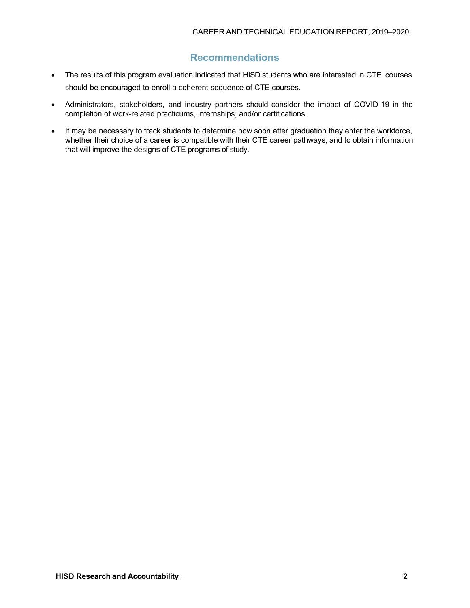## **Recommendations**

- The results of this program evaluation indicated that HISD students who are interested in CTE courses should be encouraged to enroll a coherent sequence of CTE courses.
- Administrators, stakeholders, and industry partners should consider the impact of COVID-19 in the completion of work-related practicums, internships, and/or certifications.
- It may be necessary to track students to determine how soon after graduation they enter the workforce, whether their choice of a career is compatible with their CTE career pathways, and to obtain information that will improve the designs of CTE programs of study.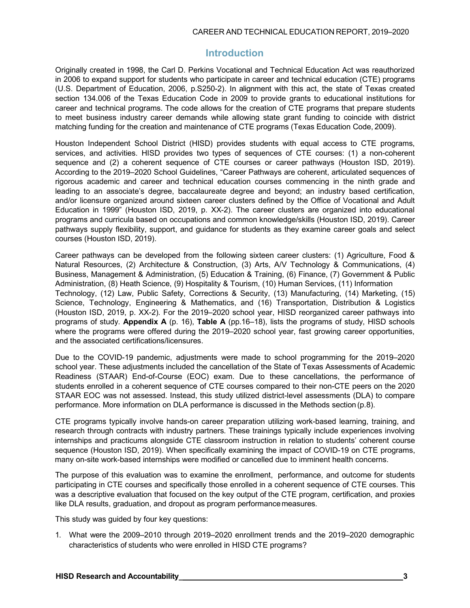#### CAREER AND TECHNICAL EDUCATION REPORT, 2019–2020

### **Introduction**

Originally created in 1998, the Carl D. Perkins Vocational and Technical Education Act was reauthorized in 2006 to expand support for students who participate in career and technical education (CTE) programs (U.S. Department of Education, 2006, p.S250-2). In alignment with this act, the state of Texas created section 134.006 of the Texas Education Code in 2009 to provide grants to educational institutions for career and technical programs. The code allows for the creation of CTE programs that prepare students to meet business industry career demands while allowing state grant funding to coincide with district matching funding for the creation and maintenance of CTE programs (Texas Education Code, 2009).

Houston Independent School District (HISD) provides students with equal access to CTE programs, services, and activities. HISD provides two types of sequences of CTE courses: (1) a non-coherent sequence and (2) a coherent sequence of CTE courses or career pathways (Houston ISD, 2019). According to the 2019–2020 School Guidelines, "Career Pathways are coherent, articulated sequences of rigorous academic and career and technical education courses commencing in the ninth grade and leading to an associate's degree, baccalaureate degree and beyond; an industry based certification, and/or licensure organized around sixteen career clusters defined by the Office of Vocational and Adult Education in 1999" (Houston ISD, 2019, p. XX-2). The career clusters are organized into educational programs and curricula based on occupations and common knowledge/skills (Houston ISD, 2019). Career pathways supply flexibility, support, and guidance for students as they examine career goals and select courses (Houston ISD, 2019).

Career pathways can be developed from the following sixteen career clusters: (1) Agriculture, Food & Natural Resources, (2) Architecture & Construction, (3) Arts, A/V Technology & Communications, (4) Business, Management & Administration, (5) Education & Training, (6) Finance, (7) Government & Public Administration, (8) Heath Science, (9) Hospitality & Tourism, (10) Human Services, (11) Information Technology, (12) Law, Public Safety, Corrections & Security, (13) Manufacturing, (14) Marketing, (15) Science, Technology, Engineering & Mathematics, and (16) Transportation, Distribution & Logistics (Houston ISD, 2019, p. XX-2). For the 2019–2020 school year, HISD reorganized career pathways into programs of study. **Appendix A** (p. 16), **Table A** (pp.16–18), lists the programs of study, HISD schools where the programs were offered during the 2019–2020 school year, fast growing career opportunities, and the associated certifications/licensures.

Due to the COVID-19 pandemic, adjustments were made to school programming for the 2019–2020 school year. These adjustments included the cancellation of the State of Texas Assessments of Academic Readiness (STAAR) End-of-Course (EOC) exam. Due to these cancellations, the performance of students enrolled in a coherent sequence of CTE courses compared to their non-CTE peers on the 2020 STAAR EOC was not assessed. Instead, this study utilized district-level assessments (DLA) to compare performance. More information on DLA performance is discussed in the Methods section (p.8).

CTE programs typically involve hands-on career preparation utilizing work-based learning, training, and research through contracts with industry partners. These trainings typically include experiences involving internships and practicums alongside CTE classroom instruction in relation to students' coherent course sequence (Houston ISD, 2019). When specifically examining the impact of COVID-19 on CTE programs, many on-site work-based internships were modified or cancelled due to imminent health concerns.

The purpose of this evaluation was to examine the enrollment, performance, and outcome for students participating in CTE courses and specifically those enrolled in a coherent sequence of CTE courses. This was a descriptive evaluation that focused on the key output of the CTE program, certification, and proxies like DLA results, graduation, and dropout as program performance measures.

This study was guided by four key questions:

1. What were the 2009–2010 through 2019–2020 enrollment trends and the 2019–2020 demographic characteristics of students who were enrolled in HISD CTE programs?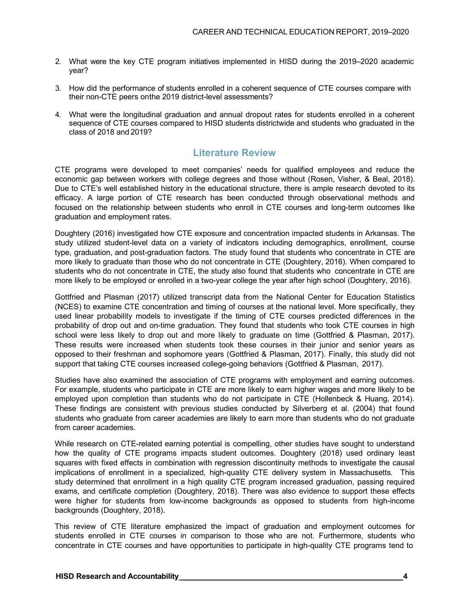- 2. What were the key CTE program initiatives implemented in HISD during the 2019–2020 academic year?
- 3. How did the performance of students enrolled in a coherent sequence of CTE courses compare with their non-CTE peers onthe 2019 district-level assessments?
- 4. What were the longitudinal graduation and annual dropout rates for students enrolled in a coherent sequence of CTE courses compared to HISD students districtwide and students who graduated in the class of 2018 and 2019?

## **Literature Review**

CTE programs were developed to meet companies' needs for qualified employees and reduce the economic gap between workers with college degrees and those without (Rosen, Visher, & Beal, 2018). Due to CTE's well established history in the educational structure, there is ample research devoted to its efficacy. A large portion of CTE research has been conducted through observational methods and focused on the relationship between students who enroll in CTE courses and long-term outcomes like graduation and employment rates.

Doughtery (2016) investigated how CTE exposure and concentration impacted students in Arkansas. The study utilized student-level data on a variety of indicators including demographics, enrollment, course type, graduation, and post-graduation factors. The study found that students who concentrate in CTE are more likely to graduate than those who do not concentrate in CTE (Doughtery, 2016). When compared to students who do not concentrate in CTE, the study also found that students who concentrate in CTE are more likely to be employed or enrolled in a two-year college the year after high school (Doughtery, 2016).

Gottfried and Plasman (2017) utilized transcript data from the National Center for Education Statistics (NCES) to examine CTE concentration and timing of courses at the national level. More specifically, they used linear probability models to investigate if the timing of CTE courses predicted differences in the probability of drop out and on-time graduation. They found that students who took CTE courses in high school were less likely to drop out and more likely to graduate on time (Gottfried & Plasman, 2017). These results were increased when students took these courses in their junior and senior years as opposed to their freshman and sophomore years (Gottfried & Plasman, 2017). Finally, this study did not support that taking CTE courses increased college-going behaviors (Gottfried & Plasman, 2017).

Studies have also examined the association of CTE programs with employment and earning outcomes. For example, students who participate in CTE are more likely to earn higher wages and more likely to be employed upon completion than students who do not participate in CTE (Hollenbeck & Huang, 2014). These findings are consistent with previous studies conducted by Silverberg et al. (2004) that found students who graduate from career academies are likely to earn more than students who do not graduate from career academies.

While research on CTE-related earning potential is compelling, other studies have sought to understand how the quality of CTE programs impacts student outcomes. Doughtery (2018) used ordinary least squares with fixed effects in combination with regression discontinuity methods to investigate the causal implications of enrollment in a specialized, high-quality CTE delivery system in Massachusetts. This study determined that enrollment in a high quality CTE program increased graduation, passing required exams, and certificate completion (Doughtery, 2018). There was also evidence to support these effects were higher for students from low-income backgrounds as opposed to students from high-income backgrounds (Doughtery, 2018).

This review of CTE literature emphasized the impact of graduation and employment outcomes for students enrolled in CTE courses in comparison to those who are not. Furthermore, students who concentrate in CTE courses and have opportunities to participate in high-quality CTE programs tend to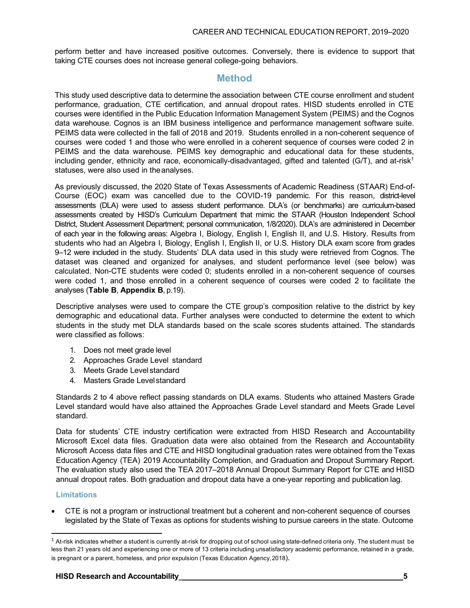perform better and have increased positive outcomes. Conversely, there is evidence to support that taking CTE courses does not increase general college-going behaviors.

## **Method**

This study used descriptive data to determine the association between CTE course enrollment and student performance, graduation, CTE certification, and annual dropout rates. HISD students enrolled in CTE courses were identified in the Public Education Information Management System (PEIMS) and the Cognos data warehouse. Cognos is an IBM business intelligence and performance management software suite. PEIMS data were collected in the fall of 2018 and 2019. Students enrolled in a non-coherent sequence of courses were coded 1 and those who were enrolled in a coherent sequence of courses were coded 2 in PEIMS and the data warehouse. PEIMS key demographic and educational data for these students, including gender, ethnicity and race, economically-disadvantaged, gifted and talented (G/T), and at-risk<sup>1</sup> statuses, were also used in theanalyses.

As previously discussed, the 2020 State of Texas Assessments of Academic Readiness (STAAR) End-of-Course (EOC) exam was cancelled due to the COVID-19 pandemic. For this reason, district-level assessments (DLA) were used to assess student performance. DLA's (or benchmarks) are curriculum-based assessments created by HISD's Curriculum Department that mimic the STAAR (Houston Independent School District, Student Assessment Department; personal communication, 1/8/2020). DLA's are administered in December of each year in the following areas: Algebra I, Biology, English I, English II, and U.S. History. Results from students who had an Algebra I, Biology, English I, English II, or U.S. History DLA exam score from grades 9–12 were included in the study. Students' DLA data used in this study were retrieved from Cognos. The dataset was cleaned and organized for analyses, and student performance level (see below) was calculated. Non-CTE students were coded 0; students enrolled in a non-coherent sequence of courses were coded 1, and those enrolled in a coherent sequence of courses were coded 2 to facilitate the analyses (**Table B**, **Appendix B**, p.19).

Descriptive analyses were used to compare the CTE group's composition relative to the district by key demographic and educational data. Further analyses were conducted to determine the extent to which students in the study met DLA standards based on the scale scores students attained. The standards were classified as follows:

- 1. Does not meet grade level
- 2. Approaches Grade Level standard
- 3. Meets Grade Level standard
- 4. Masters Grade Levelstandard

Standards 2 to 4 above reflect passing standards on DLA exams. Students who attained Masters Grade Level standard would have also attained the Approaches Grade Level standard and Meets Grade Level standard.

Data for students' CTE industry certification were extracted from HISD Research and Accountability Microsoft Excel data files. Graduation data were also obtained from the Research and Accountability Microsoft Access data files and CTE and HISD longitudinal graduation rates were obtained from the Texas Education Agency (TEA) 2019 Accountability Completion, and Graduation and Dropout Summary Report. The evaluation study also used the TEA 2017–2018 Annual Dropout Summary Report for CTE and HISD annual dropout rates. Both graduation and dropout data have a one-year reporting and publication lag.

#### **Limitations**

• CTE is not a program or instructional treatment but a coherent and non-coherent sequence of courses legislated by the State of Texas as options for students wishing to pursue careers in the state. Outcome

<span id="page-8-0"></span> $^1$  At-risk indicates whether a student is currently at-risk for dropping out of school using state-defined criteria only. The student must be less than 21 years old and experiencing one or more of 13 criteria including unsatisfactory academic performance, retained in a grade, is pregnant or a parent, homeless, and prior expulsion (Texas Education Agency,2018).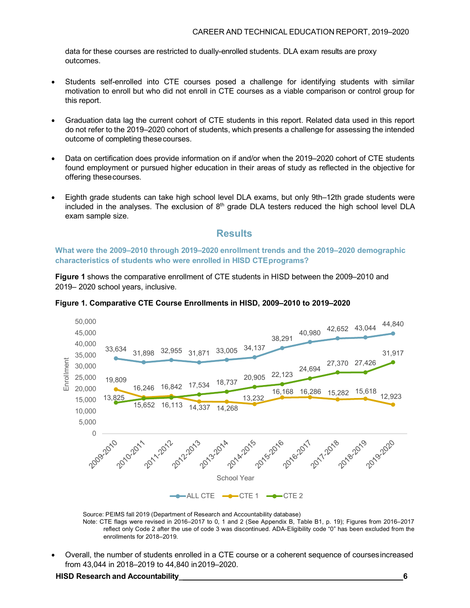data for these courses are restricted to dually-enrolled students. DLA exam results are proxy outcomes.

- Students self-enrolled into CTE courses posed a challenge for identifying students with similar motivation to enroll but who did not enroll in CTE courses as a viable comparison or control group for this report.
- Graduation data lag the current cohort of CTE students in this report. Related data used in this report do not refer to the 2019–2020 cohort of students, which presents a challenge for assessing the intended outcome of completing thesecourses.
- Data on certification does provide information on if and/or when the 2019–2020 cohort of CTE students found employment or pursued higher education in their areas of study as reflected in the objective for offering thesecourses.
- Eighth grade students can take high school level DLA exams, but only 9th–12th grade students were included in the analyses. The exclusion of  $8<sup>th</sup>$  grade DLA testers reduced the high school level DLA exam sample size.

#### **Results**

**What were the 2009–2010 through 2019–2020 enrollment trends and the 2019–2020 demographic characteristics of students who were enrolled in HISD CTEprograms?**

**Figure 1** shows the comparative enrollment of CTE students in HISD between the 2009–2010 and 2019– 2020 school years, inclusive.



**Figure 1. Comparative CTE Course Enrollments in HISD, 2009–2010 to 2019–2020**

Source: PEIMS fall 2019 (Department of Research and Accountability database) Note: CTE flags were revised in 2016–2017 to 0, 1 and 2 (See Appendix B, Table B1, p. 19); Figures from 2016–2017 reflect only Code 2 after the use of code 3 was discontinued. ADA-Eligibility code "0" has been excluded from the enrollments for 2018–2019.

• Overall, the number of students enrolled in a CTE course or a coherent sequence of coursesincreased from 43,044 in 2018–2019 to 44,840 in2019–2020.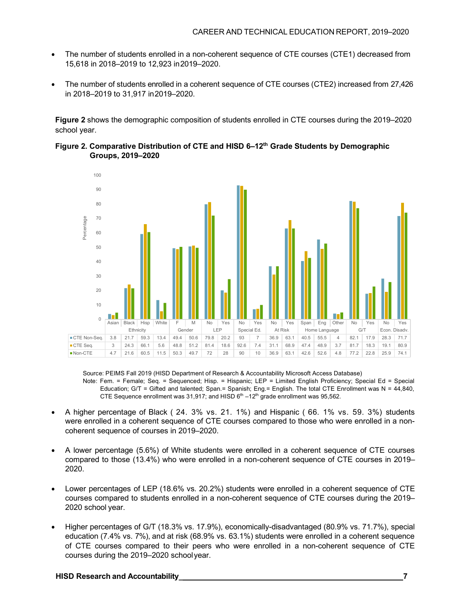- The number of students enrolled in a non-coherent sequence of CTE courses (CTE1) decreased from 15,618 in 2018–2019 to 12,923 in2019–2020.
- The number of students enrolled in a coherent sequence of CTE courses (CTE2) increased from 27,426 in 2018–2019 to 31,917 in2019–2020.

**Figure 2** shows the demographic composition of students enrolled in CTE courses during the 2019–2020 school year.





#### Source: PEIMS Fall 2019 (HISD Department of Research & Accountability Microsoft Access Database)

- Note: Fem. = Female; Seq. = Sequenced; Hisp. = Hispanic; LEP = Limited English Proficiency; Special Ed = Special Education; G/T = Gifted and talented; Span.= Spanish; Eng.= English. The total CTE Enrollment was N = 44,840, CTE Sequence enrollment was 31,917; and HISD  $6<sup>th</sup> -12<sup>th</sup>$  grade enrollment was 95,562.
- A higher percentage of Black ( 24. 3% vs. 21. 1%) and Hispanic ( 66. 1% vs. 59. 3%) students were enrolled in a coherent sequence of CTE courses compared to those who were enrolled in a noncoherent sequence of courses in 2019–2020.
- A lower percentage (5.6%) of White students were enrolled in a coherent sequence of CTE courses compared to those (13.4%) who were enrolled in a non-coherent sequence of CTE courses in 2019– 2020.
- Lower percentages of LEP (18.6% vs. 20.2%) students were enrolled in a coherent sequence of CTE courses compared to students enrolled in a non-coherent sequence of CTE courses during the 2019– 2020 school year.
- Higher percentages of G/T (18.3% vs. 17.9%), economically-disadvantaged (80.9% vs. 71.7%), special education (7.4% vs. 7%), and at risk (68.9% vs. 63.1%) students were enrolled in a coherent sequence of CTE courses compared to their peers who were enrolled in a non-coherent sequence of CTE courses during the 2019–2020 schoolyear.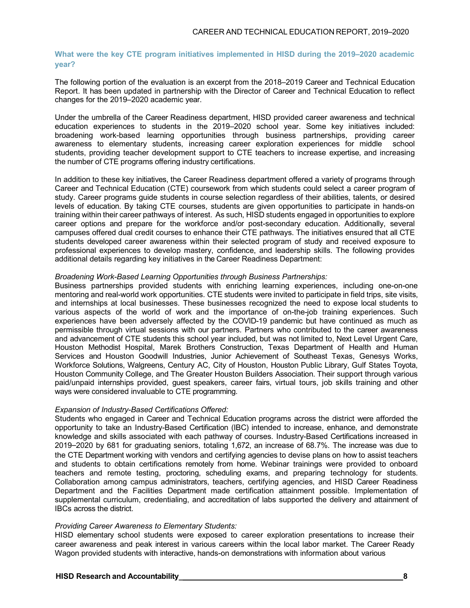#### **What were the key CTE program initiatives implemented in HISD during the 2019–2020 academic year?**

The following portion of the evaluation is an excerpt from the 2018–2019 Career and Technical Education Report. It has been updated in partnership with the Director of Career and Technical Education to reflect changes for the 2019–2020 academic year.

Under the umbrella of the Career Readiness department, HISD provided career awareness and technical education experiences to students in the 2019–2020 school year. Some key initiatives included: broadening work-based learning opportunities through business partnerships, providing career awareness to elementary students, increasing career exploration experiences for middle school students, providing teacher development support to CTE teachers to increase expertise, and increasing the number of CTE programs offering industry certifications.

In addition to these key initiatives, the Career Readiness department offered a variety of programs through Career and Technical Education (CTE) coursework from which students could select a career program of study. Career programs guide students in course selection regardless of their abilities, talents, or desired levels of education. By taking CTE courses, students are given opportunities to participate in hands-on training within their career pathways of interest. As such, HISD students engaged in opportunities to explore career options and prepare for the workforce and/or post-secondary education. Additionally, several campuses offered dual credit courses to enhance their CTE pathways. The initiatives ensured that all CTE students developed career awareness within their selected program of study and received exposure to professional experiences to develop mastery, confidence, and leadership skills. The following provides additional details regarding key initiatives in the Career Readiness Department:

#### *Broadening Work-Based Learning Opportunities through Business Partnerships:*

Business partnerships provided students with enriching learning experiences, including one-on-one mentoring and real-world work opportunities. CTE students were invited to participate in field trips, site visits, and internships at local businesses. These businesses recognized the need to expose local students to various aspects of the world of work and the importance of on-the-job training experiences. Such experiences have been adversely affected by the COVID-19 pandemic but have continued as much as permissible through virtual sessions with our partners. Partners who contributed to the career awareness and advancement of CTE students this school year included, but was not limited to, Next Level Urgent Care, Houston Methodist Hospital, Marek Brothers Construction, Texas Department of Health and Human Services and Houston Goodwill Industries, Junior Achievement of Southeast Texas, Genesys Works, Workforce Solutions, Walgreens, Century AC, City of Houston, Houston Public Library, Gulf States Toyota, Houston Community College, and The Greater Houston Builders Association. Their support through various paid/unpaid internships provided, guest speakers, career fairs, virtual tours, job skills training and other ways were considered invaluable to CTE programming.

#### *Expansion of Industry-Based Certifications Offered:*

Students who engaged in Career and Technical Education programs across the district were afforded the opportunity to take an Industry-Based Certification (IBC) intended to increase, enhance, and demonstrate knowledge and skills associated with each pathway of courses. Industry-Based Certifications increased in 2019–2020 by 681 for graduating seniors, totaling 1,672, an increase of 68.7%. The increase was due to the CTE Department working with vendors and certifying agencies to devise plans on how to assist teachers and students to obtain certifications remotely from home. Webinar trainings were provided to onboard teachers and remote testing, proctoring, scheduling exams, and preparing technology for students. Collaboration among campus administrators, teachers, certifying agencies, and HISD Career Readiness Department and the Facilities Department made certification attainment possible. Implementation of supplemental curriculum, credentialing, and accreditation of labs supported the delivery and attainment of IBCs across the district.

#### *Providing Career Awareness to Elementary Students:*

HISD elementary school students were exposed to career exploration presentations to increase their career awareness and peak interest in various careers within the local labor market. The Career Ready Wagon provided students with interactive, hands-on demonstrations with information about various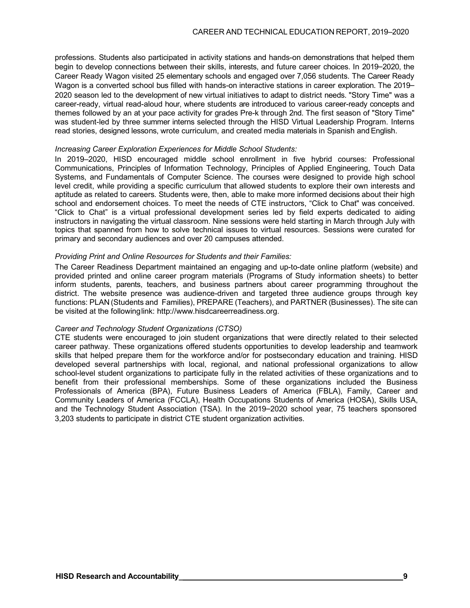professions. Students also participated in activity stations and hands-on demonstrations that helped them begin to develop connections between their skills, interests, and future career choices. In 2019–2020, the Career Ready Wagon visited 25 elementary schools and engaged over 7,056 students. The Career Ready Wagon is a converted school bus filled with hands-on interactive stations in career exploration. The 2019– 2020 season led to the development of new virtual initiatives to adapt to district needs. "Story Time" was a career-ready, virtual read-aloud hour, where students are introduced to various career-ready concepts and themes followed by an at your pace activity for grades Pre-k through 2nd. The first season of "Story Time" was student-led by three summer interns selected through the HISD Virtual Leadership Program. Interns read stories, designed lessons, wrote curriculum, and created media materials in Spanish and English.

#### *Increasing Career Exploration Experiences for Middle School Students:*

In 2019–2020, HISD encouraged middle school enrollment in five hybrid courses: Professional Communications, Principles of Information Technology, Principles of Applied Engineering, Touch Data Systems, and Fundamentals of Computer Science. The courses were designed to provide high school level credit, while providing a specific curriculum that allowed students to explore their own interests and aptitude as related to careers. Students were, then, able to make more informed decisions about their high school and endorsement choices. To meet the needs of CTE instructors, "Click to Chat" was conceived. "Click to Chat" is a virtual professional development series led by field experts dedicated to aiding instructors in navigating the virtual classroom. Nine sessions were held starting in March through July with topics that spanned from how to solve technical issues to virtual resources. Sessions were curated for primary and secondary audiences and over 20 campuses attended.

#### *Providing Print and Online Resources for Students and their Families:*

The Career Readiness Department maintained an engaging and up-to-date online platform (website) and provided printed and online career program materials (Programs of Study information sheets) to better inform students, parents, teachers, and business partners about career programming throughout the district. The website presence was audience-driven and targeted three audience groups through key functions: PLAN (Students and Families), PREPARE (Teachers), and PARTNER (Businesses). The site can be visited at the followinglin[k: http://www.hisdcareerreadiness.org.](http://www.hisdcareerreadiness.org/)

#### *Career and Technology Student Organizations (CTSO)*

CTE students were encouraged to join student organizations that were directly related to their selected career pathway. These organizations offered students opportunities to develop leadership and teamwork skills that helped prepare them for the workforce and/or for postsecondary education and training. HISD developed several partnerships with local, regional, and national professional organizations to allow school-level student organizations to participate fully in the related activities of these organizations and to benefit from their professional memberships. Some of these organizations included the Business Professionals of America (BPA), Future Business Leaders of America (FBLA), Family, Career and Community Leaders of America (FCCLA), Health Occupations Students of America (HOSA), Skills USA, and the Technology Student Association (TSA). In the 2019–2020 school year, 75 teachers sponsored 3,203 students to participate in district CTE student organization activities.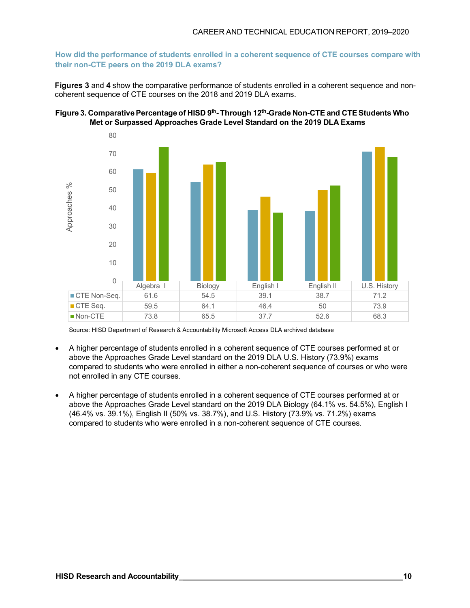**How did the performance of students enrolled in a coherent sequence of CTE courses compare with their non-CTE peers on the 2019 DLA exams?**

**Figures 3** and **4** show the comparative performance of students enrolled in a coherent sequence and noncoherent sequence of CTE courses on the 2018 and 2019 DLA exams.





Source: HISD Department of Research & Accountability Microsoft Access DLA archived database

- A higher percentage of students enrolled in a coherent sequence of CTE courses performed at or above the Approaches Grade Level standard on the 2019 DLA U.S. History (73.9%) exams compared to students who were enrolled in either a non-coherent sequence of courses or who were not enrolled in any CTE courses.
- A higher percentage of students enrolled in a coherent sequence of CTE courses performed at or above the Approaches Grade Level standard on the 2019 DLA Biology (64.1% vs. 54.5%), English I (46.4% vs. 39.1%), English II (50% vs. 38.7%), and U.S. History (73.9% vs. 71.2%) exams compared to students who were enrolled in a non-coherent sequence of CTE courses.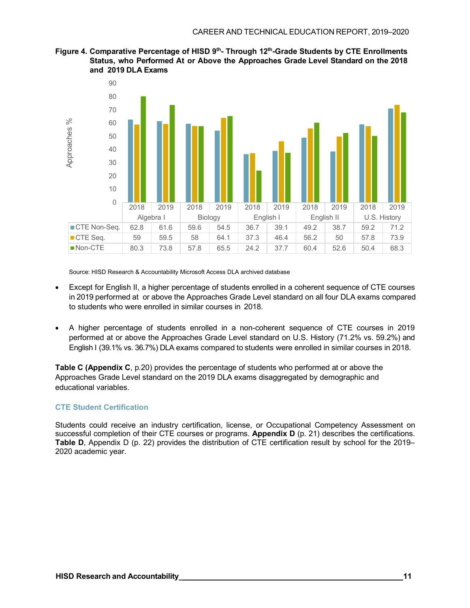



Source: HISD Research & Accountability Microsoft Access DLA archived database

- Except for English II, a higher percentage of students enrolled in a coherent sequence of CTE courses in 2019 performed at or above the Approaches Grade Level standard on all four DLA exams compared to students who were enrolled in similar courses in 2018.
- A higher percentage of students enrolled in a non-coherent sequence of CTE courses in 2019 performed at or above the Approaches Grade Level standard on U.S. History (71.2% vs. 59.2%) and English I (39.1% vs. 36.7%) DLA exams compared to students were enrolled in similar courses in 2018.

**Table C (Appendix C**, p.20) provides the percentage of students who performed at or above the Approaches Grade Level standard on the 2019 DLA exams disaggregated by demographic and educational variables.

#### **CTE Student Certification**

Students could receive an industry certification, license, or Occupational Competency Assessment on successful completion of their CTE courses or programs. **Appendix D** (p. 21) describes the certifications. **Table D**, Appendix D (p. 22) provides the distribution of CTE certification result by school for the 2019– 2020 academic year.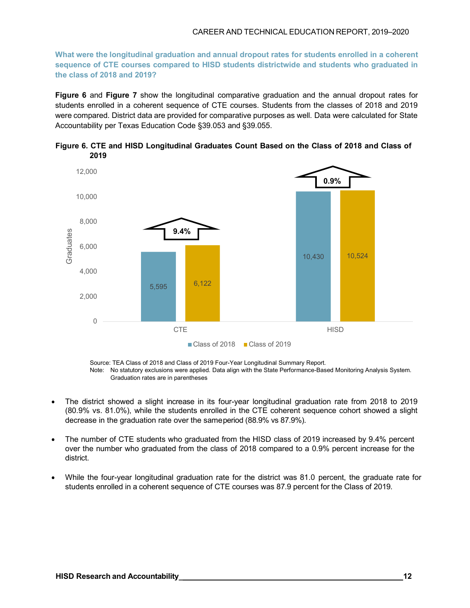#### CAREER AND TECHNICAL EDUCATION REPORT, 2019–2020

**What were the longitudinal graduation and annual dropout rates for students enrolled in a coherent sequence of CTE courses compared to HISD students districtwide and students who graduated in the class of 2018 and 2019?**

**Figure 6** and **Figure 7** show the longitudinal comparative graduation and the annual dropout rates for students enrolled in a coherent sequence of CTE courses. Students from the classes of 2018 and 2019 were compared. District data are provided for comparative purposes as well. Data were calculated for State Accountability per Texas Education Code §39.053 and §39.055.



**Figure 6. CTE and HISD Longitudinal Graduates Count Based on the Class of 2018 and Class of 2019**

Source: TEA Class of 2018 and Class of 2019 Four-Year Longitudinal Summary Report. Note: No statutory exclusions were applied. Data align with the State Performance-Based Monitoring Analysis System. Graduation rates are in parentheses

- The district showed a slight increase in its four-year longitudinal graduation rate from 2018 to 2019 (80.9% vs. 81.0%), while the students enrolled in the CTE coherent sequence cohort showed a slight decrease in the graduation rate over the sameperiod (88.9% vs 87.9%).
- The number of CTE students who graduated from the HISD class of 2019 increased by 9.4% percent over the number who graduated from the class of 2018 compared to a 0.9% percent increase for the district.
- While the four-year longitudinal graduation rate for the district was 81.0 percent, the graduate rate for students enrolled in a coherent sequence of CTE courses was 87.9 percent for the Class of 2019.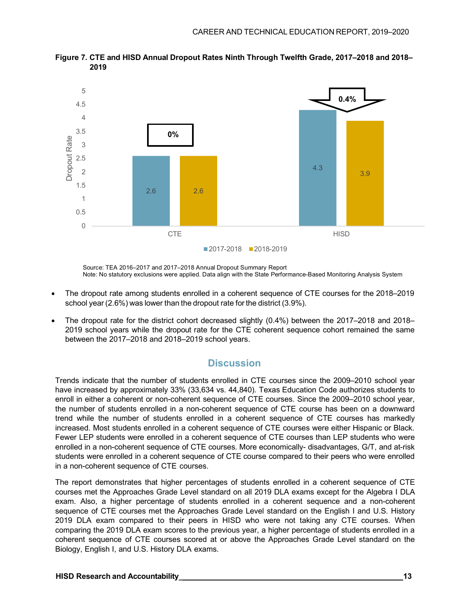

**Figure 7. CTE and HISD Annual Dropout Rates Ninth Through Twelfth Grade, 2017–2018 and 2018– 2019**

Source: TEA 2016–2017 and 2017–2018 Annual Dropout Summary Report Note: No statutory exclusions were applied. Data align with the State Performance-Based Monitoring Analysis System

- The dropout rate among students enrolled in a coherent sequence of CTE courses for the 2018–2019 school year (2.6%) was lower than the dropout rate for the district (3.9%).
- The dropout rate for the district cohort decreased slightly (0.4%) between the 2017–2018 and 2018– 2019 school years while the dropout rate for the CTE coherent sequence cohort remained the same between the 2017–2018 and 2018–2019 school years.

## **Discussion**

Trends indicate that the number of students enrolled in CTE courses since the 2009–2010 school year have increased by approximately 33% (33,634 vs. 44,840). Texas Education Code authorizes students to enroll in either a coherent or non-coherent sequence of CTE courses. Since the 2009–2010 school year, the number of students enrolled in a non-coherent sequence of CTE course has been on a downward trend while the number of students enrolled in a coherent sequence of CTE courses has markedly increased. Most students enrolled in a coherent sequence of CTE courses were either Hispanic or Black. Fewer LEP students were enrolled in a coherent sequence of CTE courses than LEP students who were enrolled in a non-coherent sequence of CTE courses. More economically- disadvantages, G/T, and at-risk students were enrolled in a coherent sequence of CTE course compared to their peers who were enrolled in a non-coherent sequence of CTE courses.

The report demonstrates that higher percentages of students enrolled in a coherent sequence of CTE courses met the Approaches Grade Level standard on all 2019 DLA exams except for the Algebra I DLA exam. Also, a higher percentage of students enrolled in a coherent sequence and a non-coherent sequence of CTE courses met the Approaches Grade Level standard on the English I and U.S. History 2019 DLA exam compared to their peers in HISD who were not taking any CTE courses. When comparing the 2019 DLA exam scores to the previous year, a higher percentage of students enrolled in a coherent sequence of CTE courses scored at or above the Approaches Grade Level standard on the Biology, English I, and U.S. History DLA exams.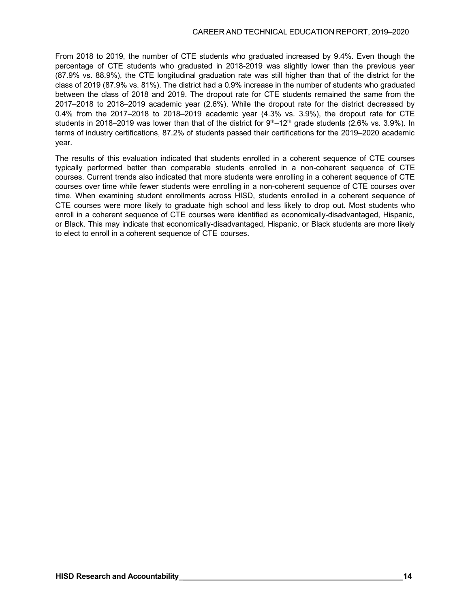From 2018 to 2019, the number of CTE students who graduated increased by 9.4%. Even though the percentage of CTE students who graduated in 2018-2019 was slightly lower than the previous year (87.9% vs. 88.9%), the CTE longitudinal graduation rate was still higher than that of the district for the class of 2019 (87.9% vs. 81%). The district had a 0.9% increase in the number of students who graduated between the class of 2018 and 2019. The dropout rate for CTE students remained the same from the 2017–2018 to 2018–2019 academic year (2.6%). While the dropout rate for the district decreased by 0.4% from the 2017–2018 to 2018–2019 academic year (4.3% vs. 3.9%), the dropout rate for CTE students in 2018–2019 was lower than that of the district for  $9<sup>th</sup>$ –12<sup>th</sup> grade students (2.6% vs. 3.9%). In terms of industry certifications, 87.2% of students passed their certifications for the 2019–2020 academic year.

The results of this evaluation indicated that students enrolled in a coherent sequence of CTE courses typically performed better than comparable students enrolled in a non-coherent sequence of CTE courses. Current trends also indicated that more students were enrolling in a coherent sequence of CTE courses over time while fewer students were enrolling in a non-coherent sequence of CTE courses over time. When examining student enrollments across HISD, students enrolled in a coherent sequence of CTE courses were more likely to graduate high school and less likely to drop out. Most students who enroll in a coherent sequence of CTE courses were identified as economically-disadvantaged, Hispanic, or Black. This may indicate that economically-disadvantaged, Hispanic, or Black students are more likely to elect to enroll in a coherent sequence of CTE courses.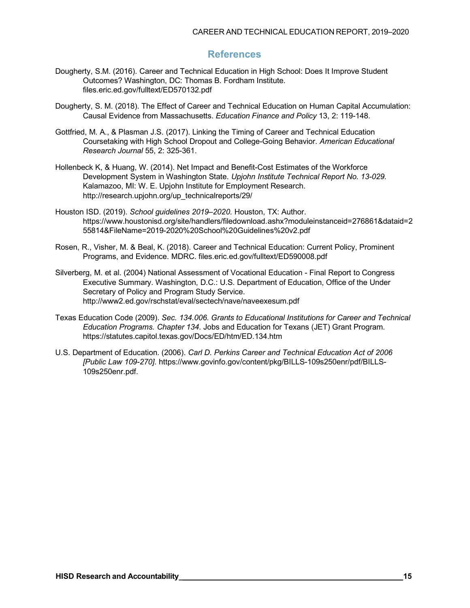## **References**

- Dougherty, S.M. (2016). Career and Technical Education in High School: Does It Improve Student Outcomes? Washington, DC: Thomas B. Fordham Institute. files.eric.ed.gov/fulltext/ED570132.pdf
- Dougherty, S. M. (2018). The Effect of Career and Technical Education on Human Capital Accumulation: Causal Evidence from Massachusetts. *Education Finance and Policy* 13, 2: 119-148.
- Gottfried, M. A., & Plasman J.S. (2017). Linking the Timing of Career and Technical Education Coursetaking with High School Dropout and College-Going Behavior. *American Educational Research Journal* 55, 2: 325-361.
- Hollenbeck K, & Huang, W. (2014). Net Impact and Benefit-Cost Estimates of the Workforce Development System in Washington State. *Upjohn Institute Technical Report No. 13-029.*  Kalamazoo, MI: W. E. Upjohn Institute for Employment Research. [http://research.upjohn.org/up\\_technicalreports/29/](http://research.upjohn.org/up_technicalreports/29/)
- Houston ISD. (2019). *School guidelines 2019–2020.* Houston, TX: Author. https:/[/www.houstonisd.org/site/handlers/filedownload.ashx?moduleinstanceid=276861&dataid=2](http://www.houstonisd.org/site/handlers/filedownload.ashx?moduleinstanceid=276861&dataid=2) 55814&FileName=2019-2020%20School%20Guidelines%20v2.pdf
- Rosen, R., Visher, M. & Beal, K. (2018). Career and Technical Education: Current Policy, Prominent Programs, and Evidence. MDRC. files.eric.ed.gov/fulltext/ED590008.pdf
- Silverberg, M. et al. (2004) National Assessment of Vocational Education Final Report to Congress Executive Summary. Washington, D.C.: U.S. Department of Education, Office of the Under Secretary of Policy and Program Study Service. <http://www2.ed.gov/rschstat/eval/sectech/nave/naveexesum.pdf>
- Texas Education Code (2009). *Sec. 134.006. Grants to Educational Institutions for Career and Technical Education Programs. Chapter 134*. Jobs and Education for Texans (JET) Grant Program. https://statutes.capitol.texas.gov/Docs/ED/htm/ED.134.htm
- U.S. Department of Education. (2006). *Carl D. Perkins Career and Technical Education Act of 2006 [Public Law 109-270].* https:/[/www.govinfo.gov/content/pkg/BILLS-109s250enr/pdf/BILLS-](http://www.govinfo.gov/content/pkg/BILLS-109s250enr/pdf/BILLS-)109s250enr.pdf.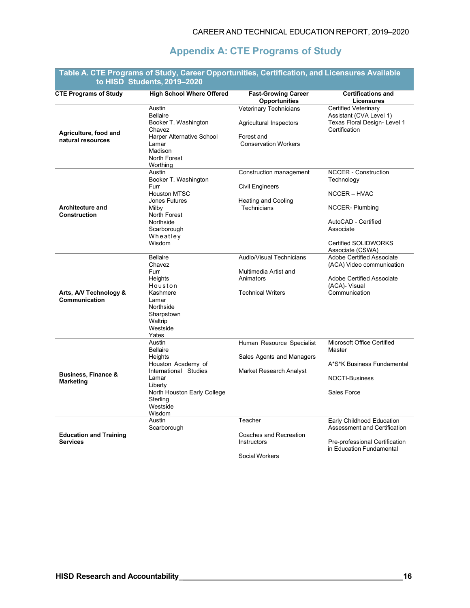## **Appendix A: CTE Programs of Study**

|                                                    | to HISD Students, 2019–2020                                                                                                                                              |                                                                                                |                                                                                                                                                                           |
|----------------------------------------------------|--------------------------------------------------------------------------------------------------------------------------------------------------------------------------|------------------------------------------------------------------------------------------------|---------------------------------------------------------------------------------------------------------------------------------------------------------------------------|
| <b>CTE Programs of Study</b>                       | <b>High School Where Offered</b>                                                                                                                                         | <b>Fast-Growing Career</b><br><b>Opportunities</b>                                             | <b>Certifications and</b><br><b>Licensures</b>                                                                                                                            |
| Agriculture, food and<br>natural resources         | Austin<br><b>Bellaire</b><br>Booker T. Washington<br>Chavez<br>Harper Alternative School<br>Lamar<br>Madison<br>North Forest<br>Worthing                                 | Veterinary Technicians<br>Agricultural Inspectors<br>Forest and<br><b>Conservation Workers</b> | Certified Veterinary<br>Assistant (CVA Level 1)<br>Texas Floral Design- Level 1<br>Certification                                                                          |
| <b>Architecture and</b><br>Construction            | Austin<br>Booker T. Washington<br>Furr<br><b>Houston MTSC</b><br><b>Jones Futures</b><br>Milby<br>North Forest<br>Northside<br>Scarborough<br>Wheatley<br>Wisdom         | Construction management<br><b>Civil Engineers</b><br><b>Heating and Cooling</b><br>Technicians | <b>NCCER - Construction</b><br>Technology<br>NCCER – HVAC<br><b>NCCER-Plumbing</b><br>AutoCAD - Certified<br>Associate<br><b>Certified SOLIDWORKS</b><br>Associate (CSWA) |
| Arts, A/V Technology &<br>Communication            | <b>Bellaire</b><br>Chavez<br>Furr<br>Heights<br>Houston<br>Kashmere<br>Lamar<br>Northside<br>Sharpstown<br>Waltrip<br>Westside<br>Yates                                  | Audio/Visual Technicians<br>Multimedia Artist and<br>Animators<br><b>Technical Writers</b>     | <b>Adobe Certified Associate</b><br>(ACA) Video communication<br><b>Adobe Certified Associate</b><br>(ACA)- Visual<br>Communication                                       |
| <b>Business, Finance &amp;</b><br><b>Marketing</b> | Austin<br><b>Bellaire</b><br>Heights<br>Houston Academy of<br>International Studies<br>Lamar<br>Liberty<br>North Houston Early College<br>Sterling<br>Westside<br>Wisdom | Human Resource Specialist<br>Sales Agents and Managers<br>Market Research Analyst              | Microsoft Office Certified<br>Master<br>A*S*K Business Fundamental<br><b>NOCTI-Business</b><br>Sales Force                                                                |
| <b>Education and Training</b><br><b>Services</b>   | Austin<br>Scarborough                                                                                                                                                    | Teacher<br>Coaches and Recreation<br>Instructors<br>Social Workers                             | Early Childhood Education<br>Assessment and Certification<br>Pre-professional Certification<br>in Education Fundamental                                                   |

## **Table A. CTE Programs of Study, Career Opportunities, Certification, and Licensures Available**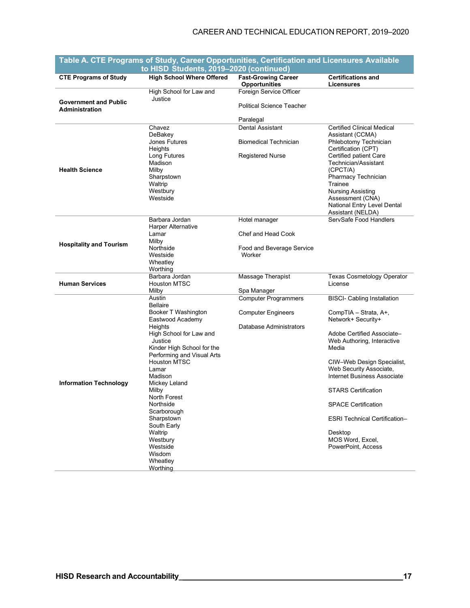#### CAREER AND TECHNICAL EDUCATION REPORT, 2019–2020

|                                                       | rabic A. OTET rughams or otuuy, Oareer Opportunnues, Oertmudtion and Eluchsures Avallable<br>to HISD Students, 2019-2020 (continued) |                                                    |                                                  |
|-------------------------------------------------------|--------------------------------------------------------------------------------------------------------------------------------------|----------------------------------------------------|--------------------------------------------------|
| <b>CTE Programs of Study</b>                          | <b>High School Where Offered</b>                                                                                                     | <b>Fast-Growing Career</b><br><b>Opportunities</b> | <b>Certifications and</b><br>Licensures          |
|                                                       | High School for Law and                                                                                                              | Foreign Service Officer                            |                                                  |
| <b>Government and Public</b><br><b>Administration</b> | Justice                                                                                                                              | <b>Political Science Teacher</b>                   |                                                  |
|                                                       |                                                                                                                                      | Paralegal                                          |                                                  |
|                                                       | Chavez                                                                                                                               | Dental Assistant                                   | <b>Certified Clinical Medical</b>                |
|                                                       | DeBakey                                                                                                                              |                                                    | Assistant (CCMA)                                 |
|                                                       | Jones Futures<br>Heights                                                                                                             | <b>Biomedical Technician</b>                       | Phlebotomy Technician<br>Certification (CPT)     |
|                                                       | Long Futures                                                                                                                         | <b>Registered Nurse</b>                            | Certified patient Care                           |
|                                                       | Madison                                                                                                                              |                                                    | Technician/Assistant                             |
| <b>Health Science</b>                                 | Milby                                                                                                                                |                                                    | (CPCT/A)                                         |
|                                                       | Sharpstown                                                                                                                           |                                                    | Pharmacy Technician                              |
|                                                       | Waltrip                                                                                                                              |                                                    | Trainee                                          |
|                                                       | Westbury                                                                                                                             |                                                    | <b>Nursing Assisting</b>                         |
|                                                       | Westside                                                                                                                             |                                                    | Assessment (CNA)                                 |
|                                                       |                                                                                                                                      |                                                    | National Entry Level Dental<br>Assistant (NELDA) |
|                                                       | Barbara Jordan                                                                                                                       | Hotel manager                                      | ServSafe Food Handlers                           |
|                                                       | Harper Alternative                                                                                                                   |                                                    |                                                  |
|                                                       | Lamar                                                                                                                                | Chef and Head Cook                                 |                                                  |
| <b>Hospitality and Tourism</b>                        | Milby                                                                                                                                |                                                    |                                                  |
|                                                       | Northside                                                                                                                            | Food and Beverage Service                          |                                                  |
|                                                       | Westside                                                                                                                             | Worker                                             |                                                  |
|                                                       | Wheatley<br>Worthing                                                                                                                 |                                                    |                                                  |
|                                                       | Barbara Jordan                                                                                                                       | Massage Therapist                                  | <b>Texas Cosmetology Operator</b>                |
| <b>Human Services</b>                                 | <b>Houston MTSC</b>                                                                                                                  |                                                    | License                                          |
|                                                       | Milby                                                                                                                                | Spa Manager                                        |                                                  |
|                                                       | Austin<br><b>Bellaire</b>                                                                                                            | <b>Computer Programmers</b>                        | <b>BISCI- Cabling Installation</b>               |
|                                                       | Booker T Washington                                                                                                                  | <b>Computer Engineers</b>                          | CompTIA - Strata, A+,                            |
|                                                       | Eastwood Academy                                                                                                                     |                                                    | Network+ Security+                               |
|                                                       | Heights                                                                                                                              | Database Administrators                            |                                                  |
|                                                       | High School for Law and                                                                                                              |                                                    | Adobe Certified Associate-                       |
|                                                       | Justice                                                                                                                              |                                                    | Web Authoring, Interactive                       |
|                                                       | Kinder High School for the<br>Performing and Visual Arts                                                                             |                                                    | Media                                            |
|                                                       | <b>Houston MTSC</b>                                                                                                                  |                                                    | CIW-Web Design Specialist,                       |
|                                                       | Lamar                                                                                                                                |                                                    | Web Security Associate,                          |
|                                                       | Madison                                                                                                                              |                                                    | <b>Internet Business Associate</b>               |
| <b>Information Technology</b>                         | Mickey Leland                                                                                                                        |                                                    |                                                  |
|                                                       | Milby                                                                                                                                |                                                    | STARS Certification                              |
|                                                       | North Forest                                                                                                                         |                                                    |                                                  |
|                                                       | Northside                                                                                                                            |                                                    | <b>SPACE Certification</b>                       |
|                                                       | Scarborough<br>Sharpstown                                                                                                            |                                                    | <b>ESRI Technical Certification-</b>             |
|                                                       | South Early                                                                                                                          |                                                    |                                                  |
|                                                       | Waltrip                                                                                                                              |                                                    | Desktop                                          |
|                                                       | Westbury                                                                                                                             |                                                    | MOS Word, Excel,                                 |
|                                                       | Westside                                                                                                                             |                                                    | PowerPoint, Access                               |
|                                                       | Wisdom                                                                                                                               |                                                    |                                                  |
|                                                       | Wheatley                                                                                                                             |                                                    |                                                  |
|                                                       | Worthing                                                                                                                             |                                                    |                                                  |

# **Table A. CTE Programs of Study, Career Opportunities, Certification and Licensures Available**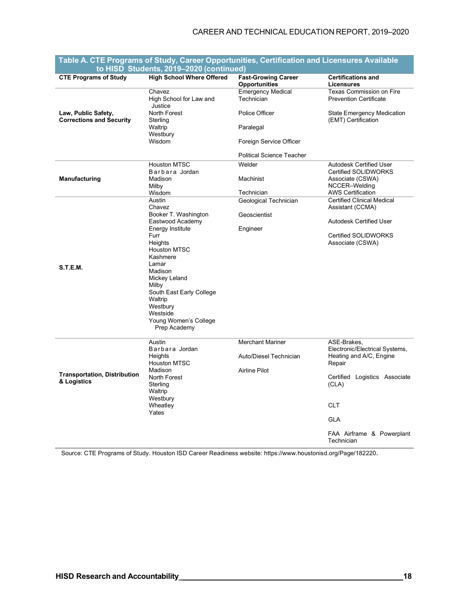#### CAREER AND TECHNICAL EDUCATION REPORT, 2019–2020

| <b>CTE Programs of Study</b>                           | <b>High School Where Offered</b>      | <b>Fast-Growing Career</b>       | <b>Certifications and</b>                                |  |  |  |  |
|--------------------------------------------------------|---------------------------------------|----------------------------------|----------------------------------------------------------|--|--|--|--|
|                                                        |                                       | Opportunities                    | <b>Licensures</b>                                        |  |  |  |  |
|                                                        | Chavez                                | <b>Emergency Medical</b>         | <b>Texas Commission on Fire</b>                          |  |  |  |  |
|                                                        | High School for Law and<br>Justice    | Technician                       | <b>Prevention Certificate</b>                            |  |  |  |  |
| Law, Public Safety,<br><b>Corrections and Security</b> | North Forest<br>Sterling              | Police Officer                   | <b>State Emergency Medication</b><br>(EMT) Certification |  |  |  |  |
|                                                        | Waltrip<br>Westbury                   | Paralegal                        |                                                          |  |  |  |  |
|                                                        | Wisdom                                | Foreign Service Officer          |                                                          |  |  |  |  |
|                                                        |                                       | <b>Political Science Teacher</b> |                                                          |  |  |  |  |
|                                                        | <b>Houston MTSC</b><br>Barbara Jordan | Welder                           | <b>Autodesk Certified User</b><br>Certified SOLIDWORKS   |  |  |  |  |
| Manufacturing                                          | Madison<br>Milby                      | Machinist                        | Associate (CSWA)<br>NCCER-Welding                        |  |  |  |  |
|                                                        | Wisdom                                | Technician                       | <b>AWS Certification</b>                                 |  |  |  |  |
|                                                        | Austin                                | Geological Technician            | <b>Certified Clinical Medical</b>                        |  |  |  |  |
|                                                        | Chavez                                |                                  | Assistant (CCMA)                                         |  |  |  |  |
|                                                        | Booker T. Washington                  | Geoscientist                     |                                                          |  |  |  |  |
|                                                        | Eastwood Academy                      |                                  | <b>Autodesk Certified User</b>                           |  |  |  |  |
|                                                        | Energy Institute                      | Engineer                         |                                                          |  |  |  |  |
|                                                        | Furr<br>Heights                       |                                  | <b>Certified SOLIDWORKS</b><br>Associate (CSWA)          |  |  |  |  |
|                                                        | <b>Houston MTSC</b>                   |                                  |                                                          |  |  |  |  |
|                                                        | Kashmere                              |                                  |                                                          |  |  |  |  |
| <b>S.T.E.M.</b>                                        | Lamar                                 |                                  |                                                          |  |  |  |  |
|                                                        | Madison                               |                                  |                                                          |  |  |  |  |
|                                                        | Mickey Leland                         |                                  |                                                          |  |  |  |  |
|                                                        | Milby                                 |                                  |                                                          |  |  |  |  |
|                                                        | South East Early College              |                                  |                                                          |  |  |  |  |
|                                                        | Waltrip                               |                                  |                                                          |  |  |  |  |
|                                                        | Westbury                              |                                  |                                                          |  |  |  |  |
|                                                        | Westside                              |                                  |                                                          |  |  |  |  |
|                                                        | Young Women's College                 |                                  |                                                          |  |  |  |  |
|                                                        | Prep Academy                          |                                  |                                                          |  |  |  |  |
|                                                        | Austin<br>Barbara Jordan              | <b>Merchant Mariner</b>          | ASE-Brakes,<br>Electronic/Electrical Systems,            |  |  |  |  |
|                                                        | Heights<br><b>Houston MTSC</b>        | Auto/Diesel Technician           | Heating and A/C, Engine<br>Repair                        |  |  |  |  |
|                                                        | Madison                               | Airline Pilot                    |                                                          |  |  |  |  |
| <b>Transportation, Distribution</b>                    | North Forest                          |                                  | Certified Logistics Associate                            |  |  |  |  |
| & Logistics                                            | Sterling                              |                                  | (CLA)                                                    |  |  |  |  |
|                                                        | Waltrip                               |                                  |                                                          |  |  |  |  |
|                                                        | Westbury                              |                                  |                                                          |  |  |  |  |
|                                                        | Wheatley                              |                                  | <b>CLT</b>                                               |  |  |  |  |
|                                                        | Yates                                 |                                  | <b>GLA</b>                                               |  |  |  |  |
|                                                        |                                       |                                  | FAA Airframe & Powerplant<br>Technician                  |  |  |  |  |

## **Table A. CTE Programs of Study, Career Opportunities, Certification and Licensures Available**

Source: CTE Programs of Study. Houston ISD Career Readiness website: https://www.houstonisd.org/Page/182220.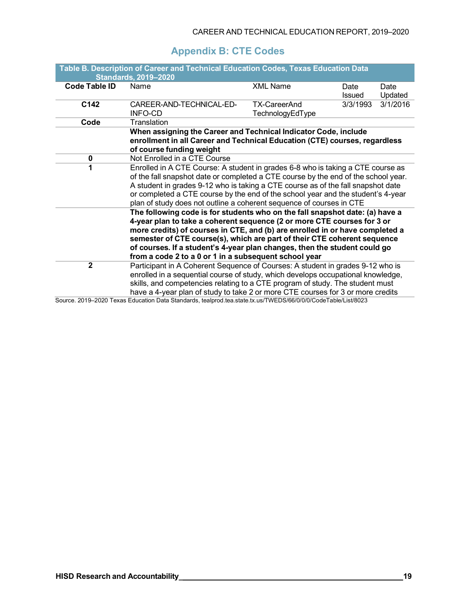## **Appendix B: CTE Codes**

|                                                                     | Table B. Description of Career and Technical Education Codes, Texas Education Data<br><b>Standards, 2019-2020</b>                                                                                                                                                                                                                                                                                                                                         |                                  |                      |                 |  |  |  |  |  |
|---------------------------------------------------------------------|-----------------------------------------------------------------------------------------------------------------------------------------------------------------------------------------------------------------------------------------------------------------------------------------------------------------------------------------------------------------------------------------------------------------------------------------------------------|----------------------------------|----------------------|-----------------|--|--|--|--|--|
| Code Table ID                                                       | Name                                                                                                                                                                                                                                                                                                                                                                                                                                                      | <b>XML Name</b>                  | Date<br>Issued       | Date<br>Updated |  |  |  |  |  |
| C142                                                                | CAREER-AND-TECHNICAL-ED-<br>INFO-CD                                                                                                                                                                                                                                                                                                                                                                                                                       | TX-CareerAnd<br>TechnologyEdType | 3/1/2016<br>3/3/1993 |                 |  |  |  |  |  |
| Code                                                                | Translation                                                                                                                                                                                                                                                                                                                                                                                                                                               |                                  |                      |                 |  |  |  |  |  |
|                                                                     | When assigning the Career and Technical Indicator Code, include<br>enrollment in all Career and Technical Education (CTE) courses, regardless<br>of course funding weight                                                                                                                                                                                                                                                                                 |                                  |                      |                 |  |  |  |  |  |
| 0                                                                   | Not Enrolled in a CTE Course                                                                                                                                                                                                                                                                                                                                                                                                                              |                                  |                      |                 |  |  |  |  |  |
| 1                                                                   | Enrolled in A CTE Course: A student in grades 6-8 who is taking a CTE course as<br>of the fall snapshot date or completed a CTE course by the end of the school year.<br>A student in grades 9-12 who is taking a CTE course as of the fall snapshot date<br>or completed a CTE course by the end of the school year and the student's 4-year<br>plan of study does not outline a coherent sequence of courses in CTE                                     |                                  |                      |                 |  |  |  |  |  |
|                                                                     | The following code is for students who on the fall snapshot date: (a) have a<br>4-year plan to take a coherent sequence (2 or more CTE courses for 3 or<br>more credits) of courses in CTE, and (b) are enrolled in or have completed a<br>semester of CTE course(s), which are part of their CTE coherent sequence<br>of courses. If a student's 4-year plan changes, then the student could go<br>from a code 2 to a 0 or 1 in a subsequent school year |                                  |                      |                 |  |  |  |  |  |
| $\mathbf{2}$<br>$P_{\text{airna}}$ $2040$ $2020$ $T_{\text{airaa}}$ | Participant in A Coherent Sequence of Courses: A student in grades 9-12 who is<br>enrolled in a sequential course of study, which develops occupational knowledge,<br>skills, and competencies relating to a CTE program of study. The student must<br>have a 4-year plan of study to take 2 or more CTE courses for 3 or more credits<br>Education Data Ctanderde, technical tec state tu us (TIMEDC/CC/O/O/O/OdeTeble/List/0002                         |                                  |                      |                 |  |  |  |  |  |

Source. 2019–2020 Texas Education Data Standards, tealprod.tea.state.tx.us/TWEDS/66/0/0/0/CodeTable/List/8023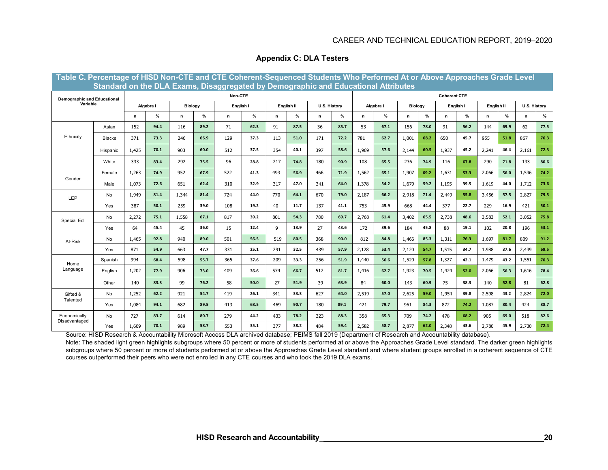#### CAREER AND TECHNICAL EDUCATION REPORT, 2019–2020

| Table C. Percentage of HISD Non-CTE and CTE Coherent-Sequenced Students Who Performed At or Above Approaches Grade Level<br>Standard on the DLA Exams, Disaggregated by Demographic and Educational Attributes |               |                      |      |       |           |     |      |                                   |      |                             |                     |           |      |              |      |              |      |       |      |       |      |
|----------------------------------------------------------------------------------------------------------------------------------------------------------------------------------------------------------------|---------------|----------------------|------|-------|-----------|-----|------|-----------------------------------|------|-----------------------------|---------------------|-----------|------|--------------|------|--------------|------|-------|------|-------|------|
|                                                                                                                                                                                                                |               | Non-CTE              |      |       |           |     |      |                                   |      |                             | <b>Coherent CTE</b> |           |      |              |      |              |      |       |      |       |      |
| <b>Demographic and Educational</b><br>Variable                                                                                                                                                                 |               | Algebra I<br>Biology |      |       | English I |     |      | <b>U.S. History</b><br>English II |      | Algebra I<br><b>Biology</b> |                     | English I |      | English II   |      | U.S. History |      |       |      |       |      |
|                                                                                                                                                                                                                |               | n                    | %    | n.    | %         | n   | $\%$ | n                                 | %    | n                           | %                   | n         | %    | $\mathsf{n}$ | %    | n            | %    | n     | %    | n     | $\%$ |
|                                                                                                                                                                                                                | Asian         | 152                  | 94.4 | 116   | 89.2      | 71  | 62.3 | 91                                | 87.5 | 36                          | 85.7                | 53        | 67.1 | 156          | 78.0 | 91           | 56.2 | 144   | 69.9 | 62    | 77.5 |
| Ethnicity                                                                                                                                                                                                      | <b>Blacks</b> | 371                  | 73.3 | 246   | 66.9      | 129 | 37.3 | 113                               | 51.0 | 171                         | 72.2                | 781       | 62.7 | 1,001        | 68.2 | 650          | 45.7 | 955   | 51.8 | 867   | 76.3 |
|                                                                                                                                                                                                                | Hispanic      | 1.425                | 70.1 | 903   | 60.0      | 512 | 37.5 | 354                               | 40.1 | 397                         | 58.6                | 1,969     | 57.6 | 2,144        | 60.5 | 1,937        | 45.2 | 2,241 | 46.4 | 2,161 | 72.3 |
|                                                                                                                                                                                                                | White         | 333                  | 83.4 | 292   | 75.5      | 96  | 28.8 | 217                               | 74.8 | 180                         | 90.9                | 108       | 65.5 | 236          | 74.9 | 116          | 67.8 | 290   | 71.8 | 133   | 80.6 |
|                                                                                                                                                                                                                | Female        | 1,263                | 74.9 | 952   | 67.9      | 522 | 41.3 | 493                               | 56.9 | 466                         | 71.9                | 1,562     | 65.1 | 1,907        | 69.2 | 1,631        | 53.3 | 2,066 | 56.0 | 1,536 | 74.2 |
| Gender<br>Male                                                                                                                                                                                                 |               | 1,073                | 72.6 | 651   | 62.4      | 310 | 32.9 | 317                               | 47.0 | 341                         | 64.0                | 1,378     | 54.2 | 1,679        | 59.2 | 1,195        | 39.5 | 1,619 | 44.0 | 1,712 | 73.6 |
| LEP                                                                                                                                                                                                            | No            | 1,949                | 81.4 | 1.344 | 81.4      | 724 | 44.0 | 770                               | 64.1 | 670                         | 79.0                | 2,187     | 66.2 | 2,918        | 71.4 | 2,449        | 55.8 | 3,456 | 57.5 | 2,827 | 79.5 |
|                                                                                                                                                                                                                | Yes           | 387                  | 50.1 | 259   | 39.0      | 108 | 19.2 | 40                                | 11.7 | 137                         | 41.1                | 753       | 45.9 | 668          | 44.4 | 377          | 22.7 | 229   | 16.9 | 421   | 50.1 |
| Special Ed.                                                                                                                                                                                                    | No            | 2,272                | 75.1 | 1,558 | 67.1      | 817 | 39.2 | 801                               | 54.3 | 780                         | 69.7                | 2,768     | 61.4 | 3,402        | 65.5 | 2,738        | 48.6 | 3,583 | 52.1 | 3,052 | 75.8 |
|                                                                                                                                                                                                                | Yes           | 64                   | 45.4 | 45    | 36.0      | 15  | 12.4 | 9                                 | 13.9 | 27                          | 43.6                | 172       | 39.6 | 184          | 45.8 | 88           | 19.1 | 102   | 20.8 | 196   | 53.1 |
| At-Risk                                                                                                                                                                                                        | No            | 1,465                | 92.8 | 940   | 89.0      | 501 | 56.5 | 519                               | 80.5 | 368                         | 90.0                | 812       | 84.8 | 1,466        | 85.3 | 1,311        | 76.3 | 1,697 | 81.7 | 809   | 91.2 |
|                                                                                                                                                                                                                | Yes           | 871                  | 54.9 | 663   | 47.7      | 331 | 25.1 | 291                               | 32.5 | 439                         | 57.9                | 2,128     | 53.4 | 2,120        | 54.7 | 1,515        | 34.7 | 1,988 | 37.6 | 2,439 | 69.5 |
| Home                                                                                                                                                                                                           | Spanish       | 994                  | 68.4 | 598   | 55.7      | 365 | 37.6 | 209                               | 33.3 | 256                         | 51.9                | 1,440     | 56.6 | 1,520        | 57.8 | 1,327        | 42.1 | 1,479 | 43.2 | 1,551 | 70.3 |
| Language                                                                                                                                                                                                       | English       | 1,202                | 77.9 | 906   | 73.0      | 409 | 36.6 | 574                               | 66.7 | 512                         | 81.7                | 1,416     | 62.7 | 1,923        | 70.5 | 1,424        | 52.0 | 2,066 | 56.3 | 1,616 | 78.4 |
|                                                                                                                                                                                                                | Other         | 140                  | 83.3 | 99    | 76.2      | 58  | 50.0 | 27                                | 51.9 | 39                          | 63.9                | 84        | 60.0 | 143          | 60.9 | 75           | 38.3 | 140   | 52.8 | 81    | 62.8 |
| Gifted &                                                                                                                                                                                                       | No            | 1,252                | 62.2 | 921   | 54.7      | 419 | 26.1 | 341                               | 33.3 | 627                         | 64.0                | 2,519     | 57.0 | 2,625        | 59.0 | 1,954        | 39.8 | 2,598 | 43.2 | 2,824 | 72.0 |
| Talented                                                                                                                                                                                                       | Yes           | 1,084                | 94.1 | 682   | 89.5      | 413 | 68.5 | 469                               | 90.7 | 180                         | 89.1                | 421       | 79.7 | 961          | 84.3 | 872          | 74.2 | 1,087 | 80.4 | 424   | 88.7 |
| Economically<br>Disadvantaged                                                                                                                                                                                  | No            | 727                  | 83.7 | 614   | 80.7      | 279 | 44.2 | 433                               | 78.2 | 323                         | 88.3                | 358       | 65.3 | 709          | 74.2 | 478          | 68.2 | 905   | 69.0 | 518   | 82.6 |
|                                                                                                                                                                                                                | Yes           | 1,609                | 70.1 | 989   | 58.7      | 553 | 35.1 | 377                               | 38.2 | 484                         | 59.4                | 2,582     | 58.7 | 2,877        | 62.0 | 2,348        | 43.6 | 2,780 | 45.9 | 2,730 | 72.4 |

#### **Appendix C: DLA Testers**

Source: HISD Research & Accountability Microsoft Access DLA archived database; PEIMS fall 2019 (Department of Research and Accountability database). Note: The shaded light green highlights subgroups where 50 percent or more of students performed at or above the Approaches Grade Level standard. The darker green highlights subgroups where 50 percent or more of students performed at or above the Approaches Grade Level standard and where student groups enrolled in a coherent sequence of CTE courses outperformed their peers who were not enrolled in any CTE courses and who took the 2019 DLA exams.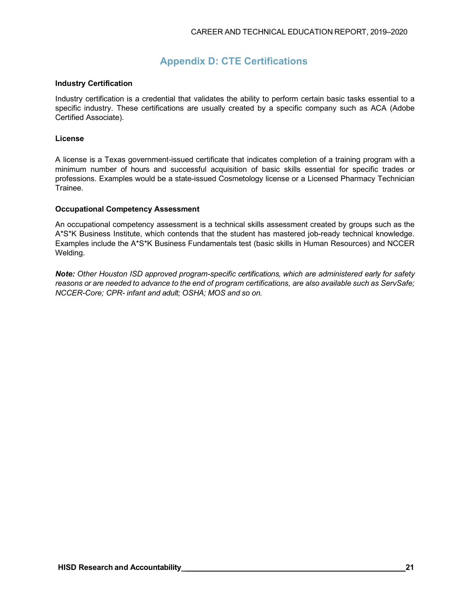## **Appendix D: CTE Certifications**

#### **Industry Certification**

Industry certification is a credential that validates the ability to perform certain basic tasks essential to a specific industry. These certifications are usually created by a specific company such as ACA (Adobe Certified Associate).

#### **License**

A license is a Texas government-issued certificate that indicates completion of a training program with a minimum number of hours and successful acquisition of basic skills essential for specific trades or professions. Examples would be a state-issued Cosmetology license or a Licensed Pharmacy Technician Trainee.

#### **Occupational Competency Assessment**

An occupational competency assessment is a technical skills assessment created by groups such as the A\*S\*K Business Institute, which contends that the student has mastered job-ready technical knowledge. Examples include the A\*S\*K Business Fundamentals test (basic skills in Human Resources) and NCCER Welding.

*Note: Other Houston ISD approved program-specific certifications, which are administered early for safety*  reasons or are needed to advance to the end of program certifications, are also available such as ServSafe; *NCCER-Core; CPR- infant and adult; OSHA; MOS and so on.*